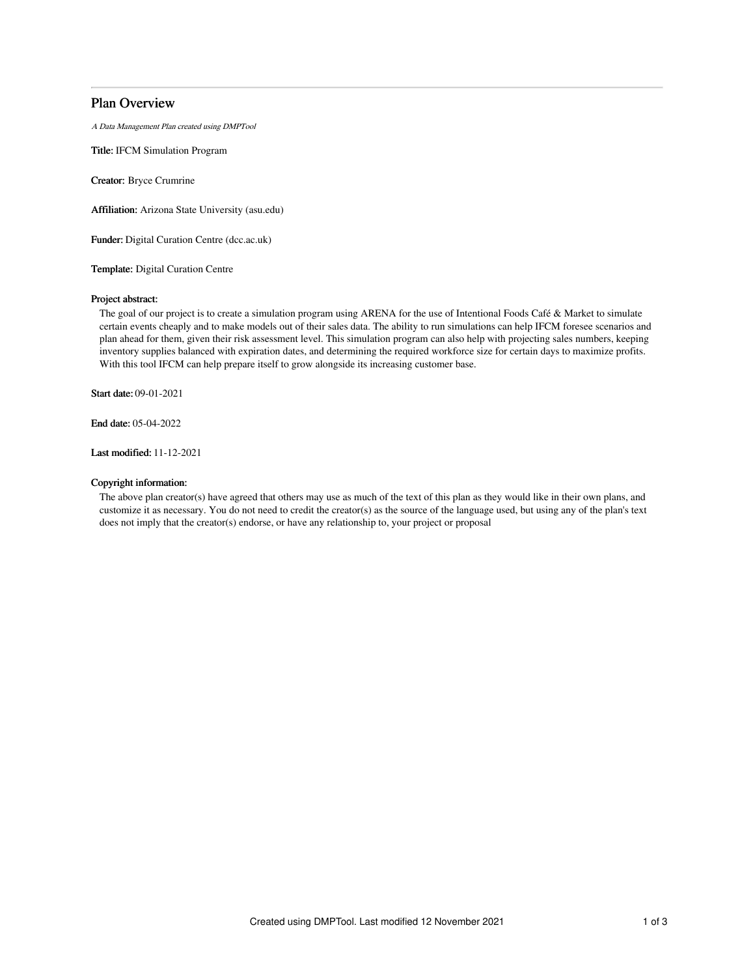# Plan Overview

A Data Management Plan created using DMPTool

Title: IFCM Simulation Program

Creator: Bryce Crumrine

Affiliation: Arizona State University (asu.edu)

Funder: Digital Curation Centre (dcc.ac.uk)

Template: Digital Curation Centre

# Project abstract:

The goal of our project is to create a simulation program using ARENA for the use of Intentional Foods Café & Market to simulate certain events cheaply and to make models out of their sales data. The ability to run simulations can help IFCM foresee scenarios and plan ahead for them, given their risk assessment level. This simulation program can also help with projecting sales numbers, keeping inventory supplies balanced with expiration dates, and determining the required workforce size for certain days to maximize profits. With this tool IFCM can help prepare itself to grow alongside its increasing customer base.

Start date: 09-01-2021

End date: 05-04-2022

Last modified: 11-12-2021

# Copyright information:

The above plan creator(s) have agreed that others may use as much of the text of this plan as they would like in their own plans, and customize it as necessary. You do not need to credit the creator(s) as the source of the language used, but using any of the plan's text does not imply that the creator(s) endorse, or have any relationship to, your project or proposal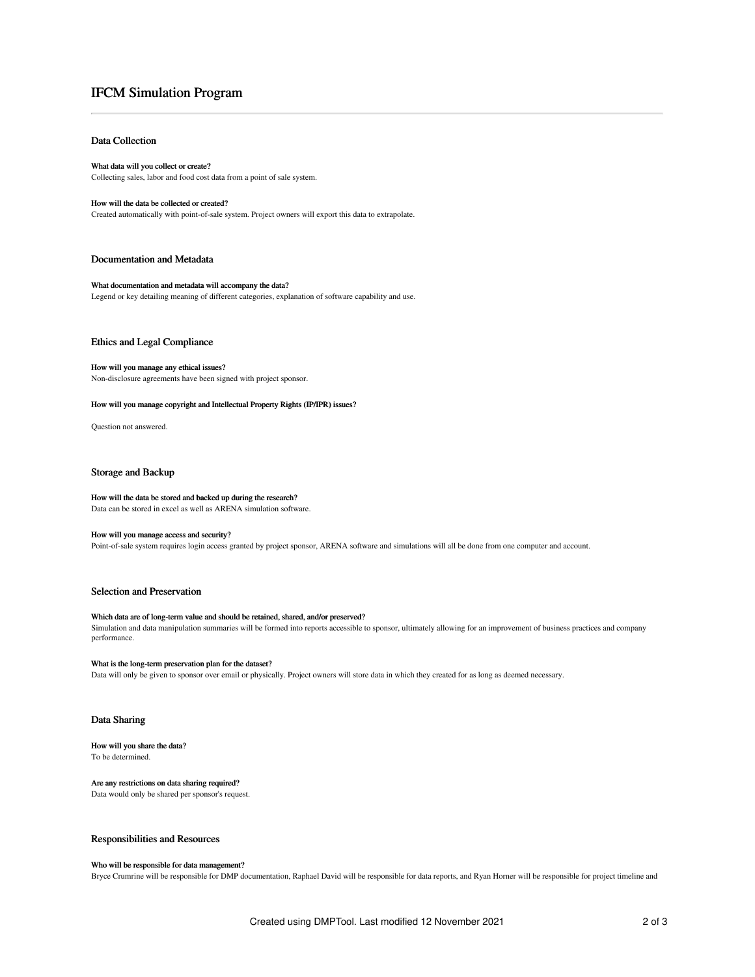# IFCM Simulation Program

# Data Collection

## What data will you collect or create? Collecting sales, labor and food cost data from a point of sale system.

#### How will the data be collected or created?

Created automatically with point-of-sale system. Project owners will export this data to extrapolate.

## Documentation and Metadata

#### What documentation and metadata will accompany the data?

Legend or key detailing meaning of different categories, explanation of software capability and use.

#### Ethics and Legal Compliance

#### How will you manage any ethical issues?

Non-disclosure agreements have been signed with project sponsor.

#### How will you manage copyright and Intellectual Property Rights (IP/IPR) issues?

Question not answered.

#### Storage and Backup

#### How will the data be stored and backed up during the research?

Data can be stored in excel as well as ARENA simulation software.

#### How will you manage access and security?

Point-of-sale system requires login access granted by project sponsor, ARENA software and simulations will all be done from one computer and account.

# Selection and Preservation

## Which data are of long-term value and should be retained, shared, and/or preserved?

Simulation and data manipulation summaries will be formed into reports accessible to sponsor, ultimately allowing for an improvement of business practices and company performance.

## What is the long-term preservation plan for the dataset?

Data will only be given to sponsor over email or physically. Project owners will store data in which they created for as long as deemed necessary.

# Data Sharing

#### How will you share the data? To be determined.

# Are any restrictions on data sharing required?

Data would only be shared per sponsor's request.

#### Responsibilities and Resources

# Who will be responsible for data management?

Bryce Crumrine will be responsible for DMP documentation, Raphael David will be responsible for data reports, and Ryan Horner will be responsible for project timeline and